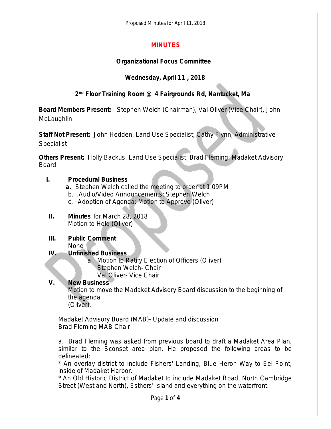Proposed Minutes for April 11, 2018

## **MINUTES**

### **Organizational Focus Committee**

## **Wednesday, April 11 , 2018**

## **2 nd Floor Training Room @ 4 Fairgrounds Rd, Nantucket, Ma**

**Board Members Present:** Stephen Welch (Chairman), Val Oliver (Vice Chair), John **McLaughlin** 

**Staff Not Present:** John Hedden, Land Use Specialist; Cathy Flynn, Administrative **Specialist** 

**Others Present:** Holly Backus, Land Use Specialist; Brad Fleming; Madaket Advisory Board

#### **I. Procedural Business**

- **a.** Stephen Welch called the meeting to order at 1:09PM
- b. .Audio/Video Announcements: Stephen Welch
- c. Adoption of Agenda: Motion to Approve (Oliver)
- **II. Minutes** for March 28, 2018 Motion to Hold (Oliver)

# **III. Public Comment**

None

### **IV. Unfinished Business**

a. Motion to Ratify Election of Officers (Oliver) Stephen Welch- Chair Val Oliver- Vice Chair

## **V. New Business**

Motion to move the Madaket Advisory Board discussion to the beginning of the agenda (Oliver).

Madaket Advisory Board (MAB)- Update and discussion Brad Fleming MAB Chair

a. Brad Fleming was asked from previous board to draft a Madaket Area Plan, similar to the Sconset area plan. He proposed the following areas to be delineated:

\* An overlay district to include Fishers' Landing, Blue Heron Way to Eel Point, inside of Madaket Harbor.

\* An Old Historic District of Madaket to include Madaket Road, North Cambridge Street (West and North), Esthers' Island and everything on the waterfront.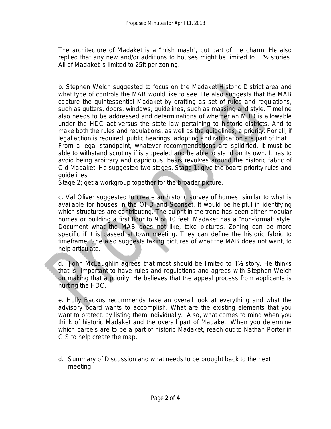The architecture of Madaket is a "mish mash", but part of the charm. He also replied that any new and/or additions to houses might be limited to 1 ½ stories. All of Madaket is limited to 25ft per zoning.

b. Stephen Welch suggested to focus on the Madaket Historic District area and what type of controls the MAB would like to see. He also suggests that the MAB capture the quintessential Madaket by drafting as set of rules and regulations, such as gutters, doors, windows; guidelines, such as massing and style. Timeline also needs to be addressed and determinations of whether an MHD is allowable under the HDC act versus the state law pertaining to historic districts. And to make both the rules and regulations, as well as the guidelines, a priority. For all, if legal action is required, public hearings, adopting and ratification are part of that. From a legal standpoint, whatever recommendations are solidified, it must be able to withstand scrutiny if is appealed and be able to stand on its own. It has to avoid being arbitrary and capricious, basis revolves around the historic fabric of Old Madaket. He suggested two stages. Stage 1; give the board priority rules and guidelines

Stage 2; get a workgroup together for the broader picture.

c. Val Oliver suggested to create an historic survey of homes, similar to what is available for houses in the OHD and Sconset. It would be helpful in identifying which structures are contributing. The culprit in the trend has been either modular homes or building a first floor to 9 or 10 feet. Madaket has a "non-formal" style. Document what the MAB does not like, take pictures. Zoning can be more specific if it is passed at town meeting. They can define the historic fabric to timeframe. She also suggests taking pictures of what the MAB does not want, to help articulate.

d. John McLaughlin agrees that most should be limited to 1½ story. He thinks that is important to have rules and regulations and agrees with Stephen Welch on making that a priority. He believes that the appeal process from applicants is hurting the HDC.

e. Holly Backus recommends take an overall look at everything and what the advisory board wants to accomplish. What are the existing elements that you want to protect, by listing them individually. Also, what comes to mind when you think of historic Madaket and the overall part of Madaket. When you determine which parcels are to be a part of historic Madaket, reach out to Nathan Porter in GIS to help create the map.

d. Summary of Discussion and what needs to be brought back to the next meeting: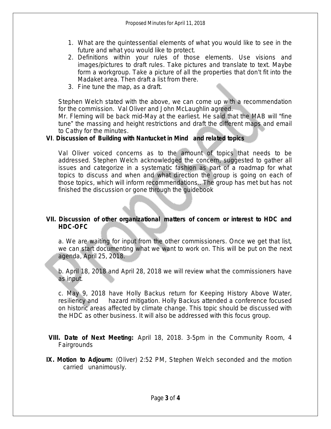- 1. What are the quintessential elements of what you would like to see in the future and what you would like to protect.
- 2. Definitions within your rules of those elements. Use visions and images/pictures to draft rules. Take pictures and translate to text. Maybe form a workgroup. Take a picture of all the properties that don't fit into the Madaket area. Then draft a list from there.
- 3. Fine tune the map, as a draft.

Stephen Welch stated with the above, we can come up with a recommendation for the commission. Val Oliver and John McLaughlin agreed.

Mr. Fleming will be back mid-May at the earliest. He said that the MAB will "fine tune" the massing and height restrictions and draft the different maps and email to Cathy for the minutes.

## **VI**. **Discussion of** *Building with Nantucket in Mind* **and related topics**

Val Oliver voiced concerns as to the amount of topics that needs to be addressed. Stephen Welch acknowledged the concern, suggested to gather all issues and categorize in a systematic fashion as part of a roadmap for what topics to discuss and when and what direction the group is going on each of those topics, which will inform recommendations.. The group has met but has not finished the discussion or gone through the guidebook

### **VII. Discussion of other organizational matters of concern or interest to HDC and HDC-OFC**

a. We are waiting for input from the other commissioners. Once we get that list, we can start documenting what we want to work on. This will be put on the next agenda, April 25, 2018.

b. April 18, 2018 and April 28, 2018 we will review what the commissioners have as input.

c. May 9, 2018 have Holly Backus return for Keeping History Above Water, resiliency and hazard mitigation. Holly Backus attended a conference focused on historic areas affected by climate change. This topic should be discussed with the HDC as other business. It will also be addressed with this focus group.

**VIII. Date of Next Meeting:** April 18, 2018. 3-5pm in the Community Room, 4 Fairgrounds

**IX. Motion to Adjourn:** (Oliver) 2:52 PM, Stephen Welch seconded and the motion carried unanimously.